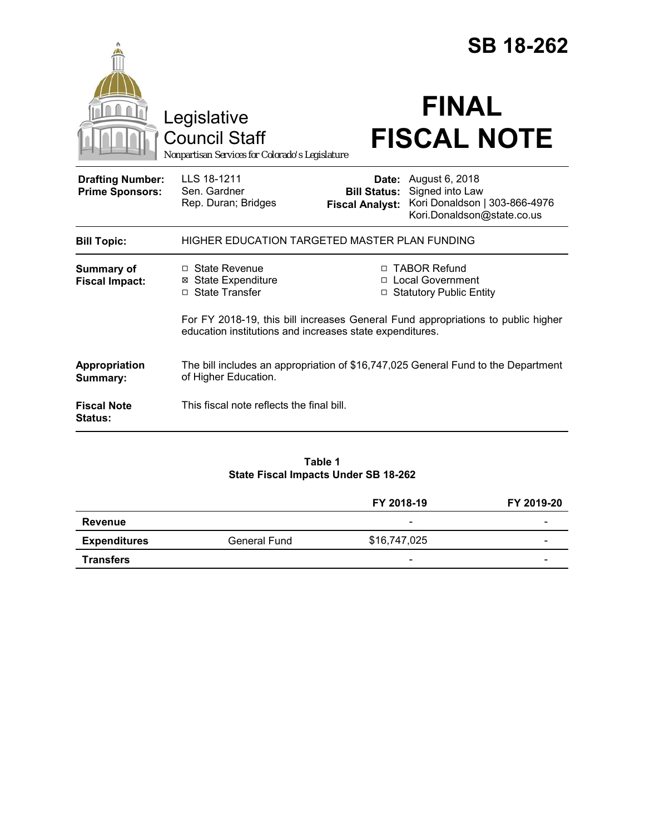|                                                   |                                                                                                                                              |                                                                   | <b>SB 18-262</b>                                                                                              |  |  |  |
|---------------------------------------------------|----------------------------------------------------------------------------------------------------------------------------------------------|-------------------------------------------------------------------|---------------------------------------------------------------------------------------------------------------|--|--|--|
|                                                   | Legislative<br><b>Council Staff</b><br>Nonpartisan Services for Colorado's Legislature                                                       |                                                                   | <b>FINAL</b><br><b>FISCAL NOTE</b>                                                                            |  |  |  |
| <b>Drafting Number:</b><br><b>Prime Sponsors:</b> | LLS 18-1211<br>Sen. Gardner<br>Rep. Duran; Bridges                                                                                           | <b>Bill Status:</b><br><b>Fiscal Analyst:</b>                     | <b>Date:</b> August 6, 2018<br>Signed into Law<br>Kori Donaldson   303-866-4976<br>Kori.Donaldson@state.co.us |  |  |  |
| <b>Bill Topic:</b>                                | HIGHER EDUCATION TARGETED MASTER PLAN FUNDING                                                                                                |                                                                   |                                                                                                               |  |  |  |
| <b>Summary of</b><br><b>Fiscal Impact:</b>        | □ State Revenue<br><b>⊠</b> State Expenditure<br>□ State Transfer                                                                            | □ TABOR Refund<br>□ Local Government<br>□ Statutory Public Entity |                                                                                                               |  |  |  |
|                                                   | For FY 2018-19, this bill increases General Fund appropriations to public higher<br>education institutions and increases state expenditures. |                                                                   |                                                                                                               |  |  |  |
| Appropriation<br>Summary:                         | The bill includes an appropriation of \$16,747,025 General Fund to the Department<br>of Higher Education.                                    |                                                                   |                                                                                                               |  |  |  |
| <b>Fiscal Note</b><br><b>Status:</b>              | This fiscal note reflects the final bill.                                                                                                    |                                                                   |                                                                                                               |  |  |  |
|                                                   |                                                                                                                                              |                                                                   |                                                                                                               |  |  |  |

**Table 1 State Fiscal Impacts Under SB 18-262**

|                     |                     | FY 2018-19               | FY 2019-20 |
|---------------------|---------------------|--------------------------|------------|
| Revenue             |                     | $\overline{\phantom{0}}$ | -          |
| <b>Expenditures</b> | <b>General Fund</b> | \$16,747,025             | -          |
| <b>Transfers</b>    |                     | $\overline{\phantom{0}}$ | -          |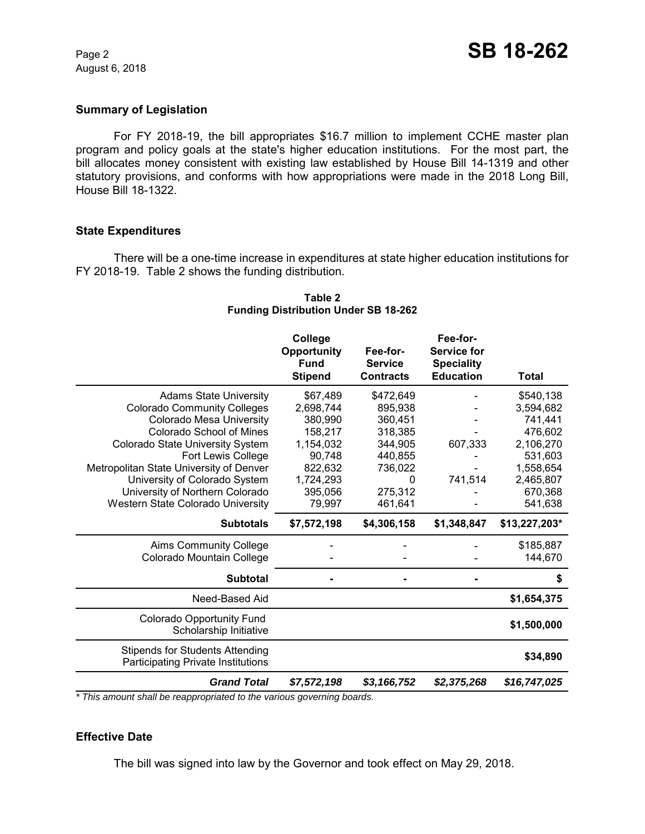August 6, 2018

#### **Summary of Legislation**

For FY 2018-19, the bill appropriates \$16.7 million to implement CCHE master plan program and policy goals at the state's higher education institutions. For the most part, the bill allocates money consistent with existing law established by House Bill 14-1319 and other statutory provisions, and conforms with how appropriations were made in the 2018 Long Bill, House Bill 18-1322.

#### **State Expenditures**

There will be a one-time increase in expenditures at state higher education institutions for FY 2018-19. Table 2 shows the funding distribution.

|                                                                                     | College<br>Opportunity<br><b>Fund</b><br><b>Stipend</b> | Fee-for-<br><b>Service</b><br><b>Contracts</b> | Fee-for-<br><b>Service for</b><br><b>Speciality</b><br><b>Education</b> | <b>Total</b>  |
|-------------------------------------------------------------------------------------|---------------------------------------------------------|------------------------------------------------|-------------------------------------------------------------------------|---------------|
| <b>Adams State University</b>                                                       | \$67,489                                                | \$472,649                                      |                                                                         | \$540,138     |
| <b>Colorado Community Colleges</b>                                                  | 2,698,744                                               | 895,938                                        |                                                                         | 3,594,682     |
| Colorado Mesa University                                                            | 380,990                                                 | 360,451                                        |                                                                         | 741,441       |
| <b>Colorado School of Mines</b>                                                     | 158,217                                                 | 318,385                                        |                                                                         | 476,602       |
| Colorado State University System                                                    | 1,154,032                                               | 344,905                                        | 607,333                                                                 | 2,106,270     |
| <b>Fort Lewis College</b>                                                           | 90,748                                                  | 440,855                                        |                                                                         | 531,603       |
| Metropolitan State University of Denver                                             | 822,632                                                 | 736,022                                        |                                                                         | 1,558,654     |
| University of Colorado System                                                       | 1,724,293                                               | 0                                              | 741,514                                                                 | 2,465,807     |
| University of Northern Colorado                                                     | 395,056                                                 | 275,312                                        |                                                                         | 670,368       |
| Western State Colorado University                                                   | 79,997                                                  | 461,641                                        |                                                                         | 541,638       |
| <b>Subtotals</b>                                                                    | \$7,572,198                                             | \$4,306,158                                    | \$1,348,847                                                             | \$13,227,203* |
| <b>Aims Community College</b>                                                       |                                                         |                                                |                                                                         | \$185,887     |
| Colorado Mountain College                                                           |                                                         |                                                |                                                                         | 144,670       |
| <b>Subtotal</b>                                                                     |                                                         |                                                |                                                                         | S             |
| Need-Based Aid                                                                      |                                                         |                                                |                                                                         | \$1,654,375   |
| Colorado Opportunity Fund<br>Scholarship Initiative                                 |                                                         |                                                |                                                                         | \$1,500,000   |
| <b>Stipends for Students Attending</b><br><b>Participating Private Institutions</b> |                                                         |                                                |                                                                         | \$34,890      |
| <b>Grand Total</b>                                                                  | \$7,572,198                                             | \$3,166,752                                    | \$2,375,268                                                             | \$16,747,025  |

## **Table 2 Funding Distribution Under SB 18-262**

*\* This amount shall be reappropriated to the various governing boards.*

## **Effective Date**

The bill was signed into law by the Governor and took effect on May 29, 2018.